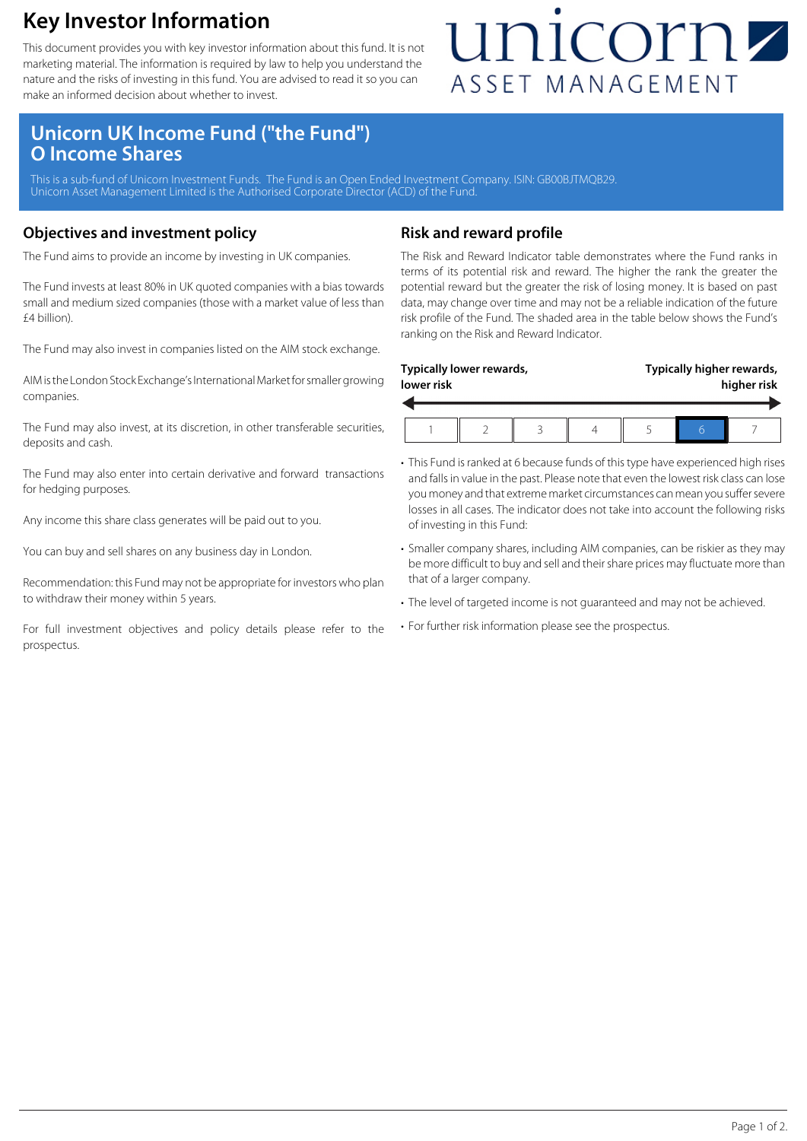### **Key Investor Information**

This document provides you with key investor information about this fund. It is not marketing material. The information is required by law to help you understand the nature and the risks of investing in this fund. You are advised to read it so you can make an informed decision about whether to invest.

## unicornz ASSET MANAGEMENT

### **Unicorn UK Income Fund ("the Fund") O Income Shares**

This is a sub-fund of Unicorn Investment Funds. The Fund is an Open Ended Investment Company. ISIN: GB00BJTMQB29 Unicorn Asset Management Limited is the Authorised Corporate Director (ACD) of the Fund.

#### **Objectives and investment policy**

The Fund aims to provide an income by investing in UK companies.

The Fund invests at least 80% in UK quoted companies with a bias towards small and medium sized companies (those with a market value of less than £4 billion).

The Fund may also invest in companies listed on the AIM stock exchange.

AIM is the London Stock Exchange's International Market for smaller growing companies.

The Fund may also invest, at its discretion, in other transferable securities, deposits and cash.

The Fund may also enter into certain derivative and forward transactions for hedging purposes.

Any income this share class generates will be paid out to you.

You can buy and sell shares on any business day in London.

Recommendation: this Fund may not be appropriate for investors who plan to withdraw their money within 5 years.

For full investment objectives and policy details please refer to the prospectus.

#### **Risk and reward profile**

The Risk and Reward Indicator table demonstrates where the Fund ranks in terms of its potential risk and reward. The higher the rank the greater the potential reward but the greater the risk of losing money. It is based on past data, may change over time and may not be a reliable indication of the future risk profile of the Fund. The shaded area in the table below shows the Fund's ranking on the Risk and Reward Indicator.

| Typically higher rewards,<br>Typically lower rewards,<br>lower risk |  |  |  |  |  |  | higher risk |
|---------------------------------------------------------------------|--|--|--|--|--|--|-------------|
|                                                                     |  |  |  |  |  |  |             |

- This Fund is ranked at 6 because funds of this type have experienced high rises and falls in value in the past. Please note that even the lowest risk class can lose you money and that extreme market circumstances can mean you suffer severe losses in all cases. The indicator does not take into account the following risks of investing in this Fund:
- Smaller company shares, including AIM companies, can be riskier as they may be more difficult to buy and sell and their share prices may fluctuate more than that of a larger company.
- The level of targeted income is not guaranteed and may not be achieved.
- For further risk information please see the prospectus.